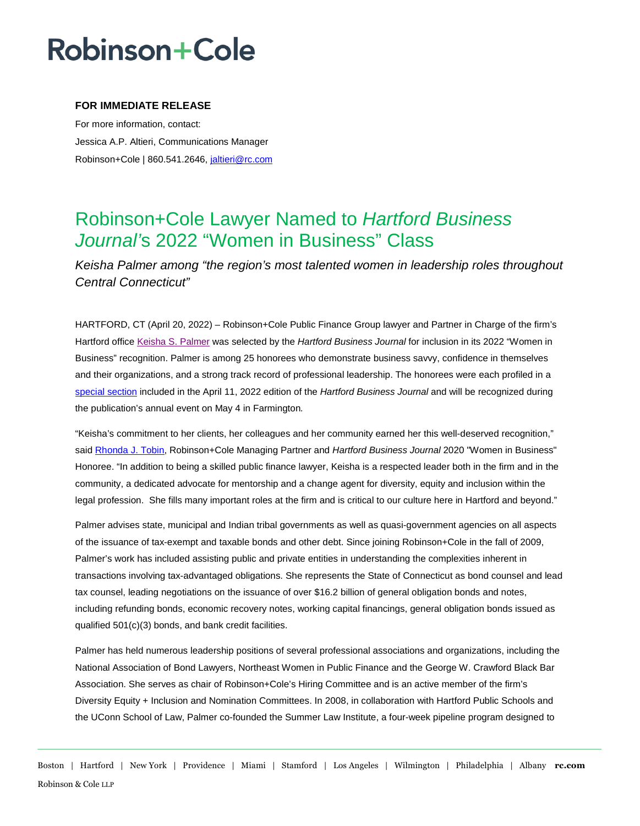## **Robinson+Cole**

### **FOR IMMEDIATE RELEASE**

For more information, contact: Jessica A.P. Altieri, Communications Manager Robinson+Cole | 860.541.2646, [jaltieri@rc.com](mailto:jaltieri@rc.com)

## Robinson+Cole Lawyer Named to *Hartford Business Journal'*s 2022 "Women in Business" Class

*Keisha Palmer among "the region's most talented women in leadership roles throughout Central Connecticut"* 

HARTFORD, CT (April 20, 2022) – Robinson+Cole Public Finance Group lawyer and Partner in Charge of the firm's Hartford office [Keisha S. Palmer](http://www.rc.com/people/KeishaSPalmer.cfm) was selected by the *Hartford Business Journal* for inclusion in its 2022 "Women in Business" recognition. Palmer is among 25 honorees who demonstrate business savvy, confidence in themselves and their organizations, and a strong track record of professional leadership. The honorees were each profiled in a [special section](https://www.hartfordbusiness.com/article/keisha-palmer-top-25-women-in-business-2022-honoree) included in the April 11, 2022 edition of the *Hartford Business Journal* and will be recognized during the publication's annual event on May 4 in Farmington*.*

"Keisha's commitment to her clients, her colleagues and her community earned her this well-deserved recognition," said [Rhonda J. Tobin,](http://www.rc.com/people/RhondaJTobin.cfm) Robinson+Cole Managing Partner and *Hartford Business Journal* 2020 "Women in Business" Honoree. "In addition to being a skilled public finance lawyer, Keisha is a respected leader both in the firm and in the community, a dedicated advocate for mentorship and a change agent for diversity, equity and inclusion within the legal profession. She fills many important roles at the firm and is critical to our culture here in Hartford and beyond."

Palmer advises state, municipal and Indian tribal governments as well as quasi-government agencies on all aspects of the issuance of tax-exempt and taxable bonds and other debt. Since joining Robinson+Cole in the fall of 2009, Palmer's work has included assisting public and private entities in understanding the complexities inherent in transactions involving tax-advantaged obligations. She represents the State of Connecticut as bond counsel and lead tax counsel, leading negotiations on the issuance of over \$16.2 billion of general obligation bonds and notes, including refunding bonds, economic recovery notes, working capital financings, general obligation bonds issued as qualified 501(c)(3) bonds, and bank credit facilities.

Palmer has held numerous leadership positions of several professional associations and organizations, including the National Association of Bond Lawyers, Northeast Women in Public Finance and the George W. Crawford Black Bar Association. She serves as chair of Robinson+Cole's Hiring Committee and is an active member of the firm's Diversity Equity + Inclusion and Nomination Committees. In 2008, in collaboration with Hartford Public Schools and the UConn School of Law, Palmer co-founded the Summer Law Institute, a four-week pipeline program designed to

Boston | Hartford | New York | Providence | Miami | Stamford | Los Angeles | Wilmington | Philadelphia | Albany **rc.com** Robinson & Cole LLP